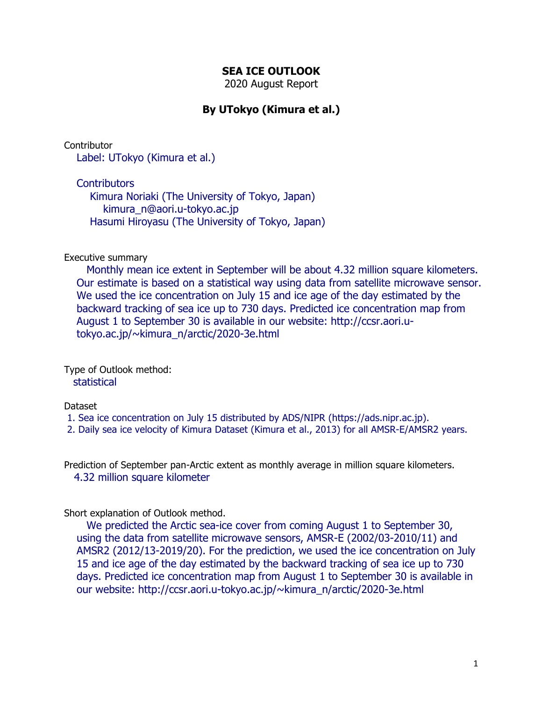## **SEA ICE OUTLOOK**

2020 August Report

# **By UTokyo (Kimura et al.)**

**Contributor** 

Label: UTokyo (Kimura et al.)

**Contributors** 

 Kimura Noriaki (The University of Tokyo, Japan) kimura\_n@aori.u-tokyo.ac.jp Hasumi Hiroyasu (The University of Tokyo, Japan)

### Executive summary

 Monthly mean ice extent in September will be about 4.32 million square kilometers. Our estimate is based on a statistical way using data from satellite microwave sensor. We used the ice concentration on July 15 and ice age of the day estimated by the backward tracking of sea ice up to 730 days. Predicted ice concentration map from August 1 to September 30 is available in our website: http://ccsr.aori.utokyo.ac.jp/~kimura\_n/arctic/2020-3e.html

Type of Outlook method: statistical

#### Dataset

- 1. Sea ice concentration on July 15 distributed by ADS/NIPR (https://ads.nipr.ac.jp).
- 2. Daily sea ice velocity of Kimura Dataset (Kimura et al., 2013) for all AMSR-E/AMSR2 years.

Prediction of September pan-Arctic extent as monthly average in million square kilometers. 4.32 million square kilometer

#### Short explanation of Outlook method.

 We predicted the Arctic sea-ice cover from coming August 1 to September 30, using the data from satellite microwave sensors, AMSR-E (2002/03-2010/11) and AMSR2 (2012/13-2019/20). For the prediction, we used the ice concentration on July 15 and ice age of the day estimated by the backward tracking of sea ice up to 730 days. Predicted ice concentration map from August 1 to September 30 is available in our website: http://ccsr.aori.u-tokyo.ac.jp/~kimura\_n/arctic/2020-3e.html